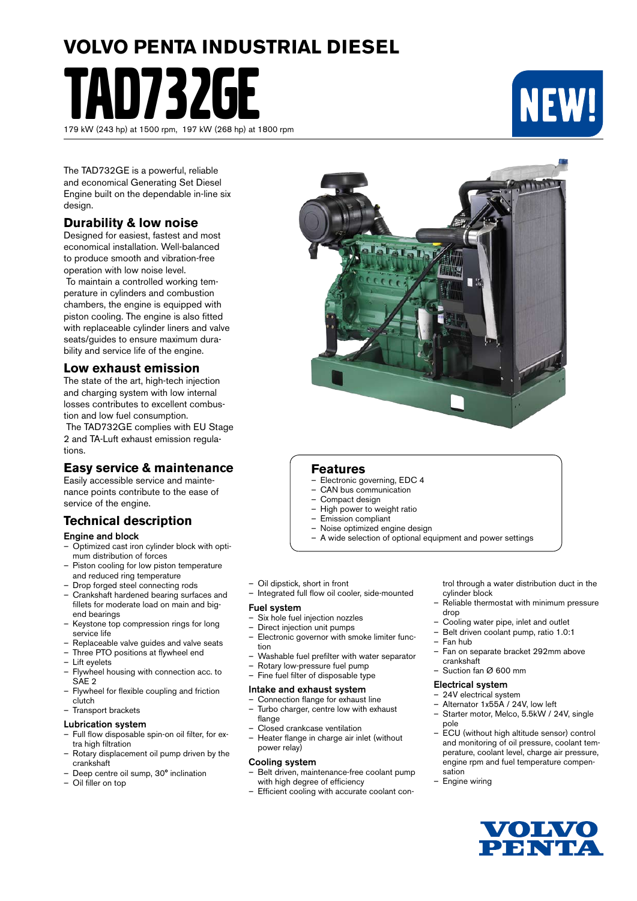# **VOLVO PENTA INDUSTRIAL DIESEL**

D732GE 179 kW (243 hp) at 1500 rpm, 197 kW (268 hp) at 1800 rpm



The TAD732GE is a powerful, reliable and economical Generating Set Diesel Engine built on the dependable in-line six design.

### **Durability & low noise**

Designed for easiest, fastest and most economical installation. Well-balanced to produce smooth and vibration-free operation with low noise level.

 To maintain a controlled working temperature in cylinders and combustion chambers, the engine is equipped with piston cooling. The engine is also fitted with replaceable cylinder liners and valve seats/guides to ensure maximum durability and service life of the engine.

## **Low exhaust emission**

The state of the art, high-tech injection and charging system with low internal losses contributes to excellent combustion and low fuel consumption.

 The TAD732GE complies with EU Stage 2 and TA-Luft exhaust emission regulations.

## **Easy service & maintenance**

Easily accessible service and maintenance points contribute to the ease of service of the engine.

# **Technical description**

#### Engine and block

- Optimized cast iron cylinder block with optimum distribution of forces
- Piston cooling for low piston temperature and reduced ring temperature
- Drop forged steel connecting rods
- Crankshaft hardened bearing surfaces and fillets for moderate load on main and bigend bearings
- Keystone top compression rings for long service life
- Replaceable valve guides and valve seats
- Three PTO positions at flywheel end
- Lift eyelets
- Flywheel housing with connection acc. to SAE 2
- Flywheel for flexible coupling and friction clutch
- Transport brackets

#### Lubrication system

- Full flow disposable spin-on oil filter, for extra high filtration
- Rotary displacement oil pump driven by the crankshaft
- Deep centre oil sump, 30° inclination
- Oil filler on top



### **Features**

- Electronic governing, EDC 4
- CAN bus communication
- Compact design
- High power to weight ratio<br>– Emission compliant
- Emission compliant
- Noise optimized engine design
- A wide selection of optional equipment and power settings
- Oil dipstick, short in front
- Integrated full flow oil cooler, side-mounted

#### Fuel system

- Six hole fuel injection nozzles
- Direct injection unit pumps
- Electronic governor with smoke limiter function
- Washable fuel prefilter with water separator
- Rotary low-pressure fuel pump<br>– Fine fuel filter of disposable type
- Fine fuel filter of disposable type

#### Intake and exhaust system

- Connection flange for exhaust line – Turbo charger, centre low with exhaust
- flange – Closed crankcase ventilation
- Heater flange in charge air inlet (without power relay)

#### Cooling system

- Belt driven, maintenance-free coolant pump with high degree of efficiency
- Efficient cooling with accurate coolant con-

trol through a water distribution duct in the cylinder block

- Reliable thermostat with minimum pressure drop
- Cooling water pipe, inlet and outlet
- Belt driven coolant pump, ratio 1.0:1
- Fan hub
- Fan on separate bracket 292mm above crankshaft
- Suction fan Ø 600 mm

#### Electrical system

- 24V electrical system
- Alternator 1x55A / 24V, low left
- Starter motor, Melco, 5.5kW / 24V, single pole
- ECU (without high altitude sensor) control and monitoring of oil pressure, coolant temperature, coolant level, charge air pressure, engine rpm and fuel temperature compensation
- Engine wiring